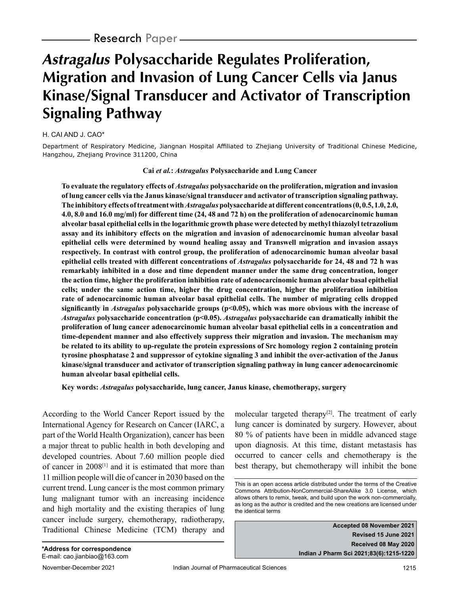# **Astragalus Polysaccharide Regulates Proliferation, Migration and Invasion of Lung Cancer Cells via Janus Kinase/Signal Transducer and Activator of Transcription Signaling Pathway**

### H. CAI AND J. CAO\*

Department of Respiratory Medicine, Jiangnan Hospital Affiliated to Zhejiang University of Traditional Chinese Medicine, Hangzhou, Zhejiang Province 311200, China

#### **Cai** *et al.***:** *Astragalus* **Polysaccharide and Lung Cancer**

**To evaluate the regulatory effects of** *Astragalus* **polysaccharide on the proliferation, migration and invasion of lung cancer cells via the Janus kinase/signal transducer and activator of transcription signaling pathway. The inhibitory effects of treatment with** *Astragalus* **polysaccharide at different concentrations (0, 0.5, 1.0, 2.0, 4.0, 8.0 and 16.0 mg/ml) for different time (24, 48 and 72 h) on the proliferation of adenocarcinomic human alveolar basal epithelial cells in the logarithmic growth phase were detected by methyl thiazolyl tetrazolium assay and its inhibitory effects on the migration and invasion of adenocarcinomic human alveolar basal epithelial cells were determined by wound healing assay and Transwell migration and invasion assays respectively. In contrast with control group, the proliferation of adenocarcinomic human alveolar basal epithelial cells treated with different concentrations of** *Astragalus* **polysaccharide for 24, 48 and 72 h was remarkably inhibited in a dose and time dependent manner under the same drug concentration, longer the action time, higher the proliferation inhibition rate of adenocarcinomic human alveolar basal epithelial cells; under the same action time, higher the drug concentration, higher the proliferation inhibition rate of adenocarcinomic human alveolar basal epithelial cells. The number of migrating cells dropped significantly in** *Astragalus* **polysaccharide groups (p<0.05), which was more obvious with the increase of**  *Astragalus* **polysaccharide concentration (p<0.05).** *Astragalus* **polysaccharide can dramatically inhibit the proliferation of lung cancer adenocarcinomic human alveolar basal epithelial cells in a concentration and time-dependent manner and also effectively suppress their migration and invasion. The mechanism may be related to its ability to up-regulate the protein expressions of Src homology region 2 containing protein tyrosine phosphatase 2 and suppressor of cytokine signaling 3 and inhibit the over-activation of the Janus kinase/signal transducer and activator of transcription signaling pathway in lung cancer adenocarcinomic human alveolar basal epithelial cells.**

**Key words:** *Astragalus* **polysaccharide, lung cancer, Janus kinase, chemotherapy, surgery**

According to the World Cancer Report issued by the International Agency for Research on Cancer (IARC, a part of the World Health Organization), cancer has been a major threat to public health in both developing and developed countries. About 7.60 million people died of cancer in 2008[1] and it is estimated that more than 11 million people will die of cancer in 2030 based on the current trend. Lung cancer is the most common primary lung malignant tumor with an increasing incidence and high mortality and the existing therapies of lung cancer include surgery, chemotherapy, radiotherapy, Traditional Chinese Medicine (TCM) therapy and molecular targeted therapy<sup>[2]</sup>. The treatment of early lung cancer is dominated by surgery. However, about 80 % of patients have been in middle advanced stage upon diagnosis. At this time, distant metastasis has occurred to cancer cells and chemotherapy is the best therapy, but chemotherapy will inhibit the bone

**Accepted 08 November 2021 Revised 15 June 2021 Received 08 May 2020 Indian J Pharm Sci 2021;83(6):1215-1220**

This is an open access article distributed under the terms of the Creative Commons Attribution-NonCommercial-ShareAlike 3.0 License, which allows others to remix, tweak, and build upon the work non-commercially, as long as the author is credited and the new creations are licensed under the identical terms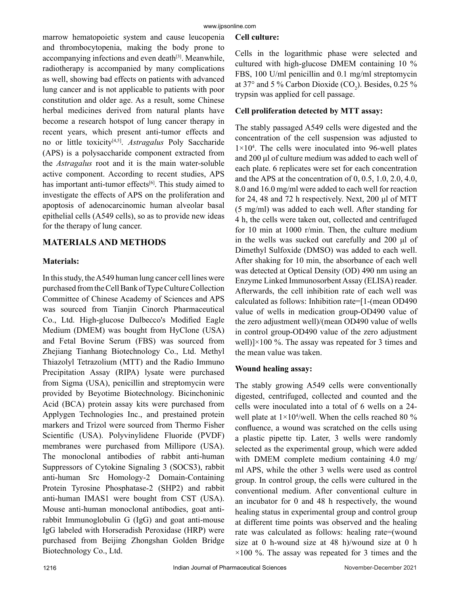marrow hematopoietic system and cause leucopenia and thrombocytopenia, making the body prone to accompanying infections and even death<sup>[3]</sup>. Meanwhile, radiotherapy is accompanied by many complications as well, showing bad effects on patients with advanced lung cancer and is not applicable to patients with poor constitution and older age. As a result, some Chinese herbal medicines derived from natural plants have become a research hotspot of lung cancer therapy in recent years, which present anti-tumor effects and no or little toxicity[4,5]. *Astragalus* Poly Saccharide (APS) is a polysaccharide component extracted from the *Astragalus* root and it is the main water-soluble active component. According to recent studies, APS has important anti-tumor effects<sup>[6]</sup>. This study aimed to investigate the effects of APS on the proliferation and apoptosis of adenocarcinomic human alveolar basal epithelial cells (A549 cells), so as to provide new ideas for the therapy of lung cancer.

## **MATERIALS AND METHODS**

#### **Materials:**

In this study, the A549 human lung cancer cell lines were purchased from the Cell Bank of Type Culture Collection Committee of Chinese Academy of Sciences and APS was sourced from Tianjin Cinorch Pharmaceutical Co., Ltd. High-glucose Dulbecco's Modified Eagle Medium (DMEM) was bought from HyClone (USA) and Fetal Bovine Serum (FBS) was sourced from Zhejiang Tianhang Biotechnology Co., Ltd. Methyl Thiazolyl Tetrazolium (MTT) and the Radio Immuno Precipitation Assay (RIPA) lysate were purchased from Sigma (USA), penicillin and streptomycin were provided by Beyotime Biotechnology. Bicinchoninic Acid (BCA) protein assay kits were purchased from Applygen Technologies Inc., and prestained protein markers and Trizol were sourced from Thermo Fisher Scientific (USA). Polyvinylidene Fluoride (PVDF) membranes were purchased from Millipore (USA). The monoclonal antibodies of rabbit anti-human Suppressors of Cytokine Signaling 3 (SOCS3), rabbit anti-human Src Homology-2 Domain-Containing Protein Tyrosine Phosphatase-2 (SHP2) and rabbit anti-human IMAS1 were bought from CST (USA). Mouse anti-human monoclonal antibodies, goat antirabbit Immunoglobulin G (IgG) and goat anti-mouse IgG labeled with Horseradish Peroxidase (HRP) were purchased from Beijing Zhongshan Golden Bridge Biotechnology Co., Ltd.

#### **Cell culture:**

Cells in the logarithmic phase were selected and cultured with high-glucose DMEM containing 10 % FBS, 100 U/ml penicillin and 0.1 mg/ml streptomycin at 37 $\degree$  and 5 % Carbon Dioxide (CO<sub>2</sub>). Besides, 0.25 % trypsin was applied for cell passage.

## **Cell proliferation detected by MTT assay:**

The stably passaged A549 cells were digested and the concentration of the cell suspension was adjusted to  $1 \times 10^4$ . The cells were inoculated into 96-well plates and 200 μl of culture medium was added to each well of each plate. 6 replicates were set for each concentration and the APS at the concentration of 0, 0.5, 1.0, 2.0, 4.0, 8.0 and 16.0 mg/ml were added to each well for reaction for 24, 48 and 72 h respectively. Next, 200 μl of MTT (5 mg/ml) was added to each well. After standing for 4 h, the cells were taken out, collected and centrifuged for 10 min at 1000 r/min. Then, the culture medium in the wells was sucked out carefully and 200 μl of Dimethyl Sulfoxide (DMSO) was added to each well. After shaking for 10 min, the absorbance of each well was detected at Optical Density (OD) 490 nm using an Enzyme Linked Immunosorbent Assay (ELISA) reader. Afterwards, the cell inhibition rate of each well was calculated as follows: Inhibition rate=[1-(mean OD490 value of wells in medication group-OD490 value of the zero adjustment well)/(mean OD490 value of wells in control group-OD490 value of the zero adjustment well)] $\times$ 100 %. The assay was repeated for 3 times and the mean value was taken.

#### **Wound healing assay:**

The stably growing A549 cells were conventionally digested, centrifuged, collected and counted and the cells were inoculated into a total of 6 wells on a 24 well plate at  $1\times10^4$ /well. When the cells reached 80 % confluence, a wound was scratched on the cells using a plastic pipette tip. Later, 3 wells were randomly selected as the experimental group, which were added with DMEM complete medium containing 4.0 mg/ ml APS, while the other 3 wells were used as control group. In control group, the cells were cultured in the conventional medium. After conventional culture in an incubator for 0 and 48 h respectively, the wound healing status in experimental group and control group at different time points was observed and the healing rate was calculated as follows: healing rate=(wound size at 0 h-wound size at 48 h)/wound size at 0 h  $\times$ 100 %. The assay was repeated for 3 times and the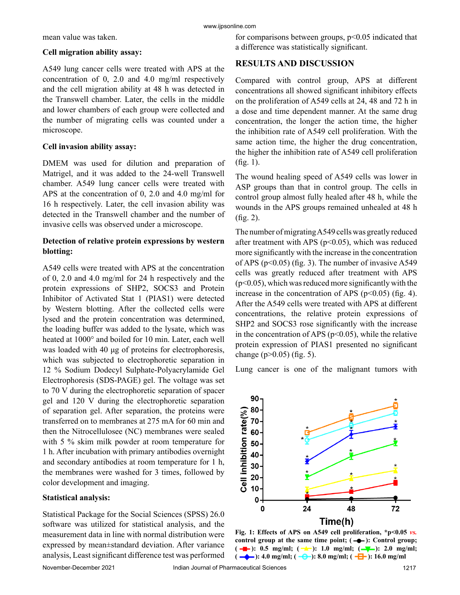mean value was taken.

#### **Cell migration ability assay:**

A549 lung cancer cells were treated with APS at the concentration of 0, 2.0 and 4.0 mg/ml respectively and the cell migration ability at 48 h was detected in the Transwell chamber. Later, the cells in the middle and lower chambers of each group were collected and the number of migrating cells was counted under a microscope.

### **Cell invasion ability assay:**

DMEM was used for dilution and preparation of Matrigel, and it was added to the 24-well Transwell chamber. A549 lung cancer cells were treated with APS at the concentration of 0, 2.0 and 4.0 mg/ml for 16 h respectively. Later, the cell invasion ability was detected in the Transwell chamber and the number of invasive cells was observed under a microscope.

## **Detection of relative protein expressions by western blotting:**

A549 cells were treated with APS at the concentration of 0, 2.0 and 4.0 mg/ml for 24 h respectively and the protein expressions of SHP2, SOCS3 and Protein Inhibitor of Activated Stat 1 (PIAS1) were detected by Western blotting. After the collected cells were lysed and the protein concentration was determined, the loading buffer was added to the lysate, which was heated at 1000° and boiled for 10 min. Later, each well was loaded with 40 μg of proteins for electrophoresis, which was subjected to electrophoretic separation in 12 % Sodium Dodecyl Sulphate-Polyacrylamide Gel Electrophoresis (SDS-PAGE) gel. The voltage was set to 70 V during the electrophoretic separation of spacer gel and 120 V during the electrophoretic separation of separation gel. After separation, the proteins were transferred on to membranes at 275 mA for 60 min and then the Nitrocellulosee (NC) membranes were sealed with 5 % skim milk powder at room temperature for 1 h. After incubation with primary antibodies overnight and secondary antibodies at room temperature for 1 h, the membranes were washed for 3 times, followed by color development and imaging.

#### **Statistical analysis:**

Statistical Package for the Social Sciences (SPSS) 26.0 software was utilized for statistical analysis, and the measurement data in line with normal distribution were expressed by mean±standard deviation. After variance analysis, Least significant difference test was performed for comparisons between groups,  $p<0.05$  indicated that a difference was statistically significant.

## **RESULTS AND DISCUSSION**

Compared with control group, APS at different concentrations all showed significant inhibitory effects on the proliferation of A549 cells at 24, 48 and 72 h in a dose and time dependent manner. At the same drug concentration, the longer the action time, the higher the inhibition rate of A549 cell proliferation. With the same action time, the higher the drug concentration, the higher the inhibition rate of A549 cell proliferation (fig. 1).

The wound healing speed of A549 cells was lower in ASP groups than that in control group. The cells in control group almost fully healed after 48 h, while the wounds in the APS groups remained unhealed at 48 h (fig. 2).

The number of migrating A549 cells was greatly reduced after treatment with APS ( $p<0.05$ ), which was reduced more significantly with the increase in the concentration of APS ( $p<0.05$ ) (fig. 3). The number of invasive A549 cells was greatly reduced after treatment with APS  $(p<0.05)$ , which was reduced more significantly with the increase in the concentration of APS ( $p<0.05$ ) (fig. 4). After the A549 cells were treated with APS at different concentrations, the relative protein expressions of SHP2 and SOCS3 rose significantly with the increase in the concentration of APS ( $p<0.05$ ), while the relative protein expression of PIAS1 presented no significant change ( $p > 0.05$ ) (fig. 5).

Lung cancer is one of the malignant tumors with



**Fig. 1: Effects of APS on A549 cell proliferation, \*p<0.05** *vs.* control group at the same time point;  $(-\rightarrow)$ : Control group;  $(-\blacksquare)$ : 0.5 mg/ml;  $(-\blacksquare)$ : 1.0 mg/ml;  $(-\blacksquare)$ : 2.0 mg/ml;  $\left(-\right)$ : 4.0 mg/ml;  $\left(-\right)$ : 8.0 mg/ml;  $\left(-\right)$ : 16.0 mg/ml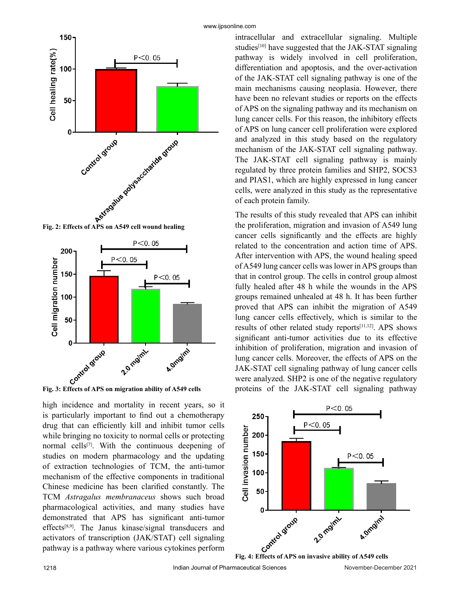



high incidence and mortality in recent years, so it is particularly important to find out a chemotherapy drug that can efficiently kill and inhibit tumor cells while bringing no toxicity to normal cells or protecting normal cells[7]. With the continuous deepening of studies on modern pharmacology and the updating of extraction technologies of TCM, the anti-tumor mechanism of the effective components in traditional Chinese medicine has been clarified constantly. The TCM *Astragalus membranaceus* shows such broad pharmacological activities, and many studies have demonstrated that APS has significant anti-tumor effects[8,9]. The Janus kinase/signal transducers and activators of transcription (JAK/STAT) cell signaling pathway is a pathway where various cytokines perform intracellular and extracellular signaling. Multiple studies $[10]$  have suggested that the JAK-STAT signaling pathway is widely involved in cell proliferation, differentiation and apoptosis, and the over-activation of the JAK-STAT cell signaling pathway is one of the main mechanisms causing neoplasia. However, there have been no relevant studies or reports on the effects of APS on the signaling pathway and its mechanism on lung cancer cells. For this reason, the inhibitory effects of APS on lung cancer cell proliferation were explored and analyzed in this study based on the regulatory mechanism of the JAK-STAT cell signaling pathway. The JAK-STAT cell signaling pathway is mainly regulated by three protein families and SHP2, SOCS3 and PIAS1, which are highly expressed in lung cancer cells, were analyzed in this study as the representative of each protein family.

The results of this study revealed that APS can inhibit the proliferation, migration and invasion of A549 lung cancer cells significantly and the effects are highly related to the concentration and action time of APS. After intervention with APS, the wound healing speed of A549 lung cancer cells was lower in APS groups than that in control group. The cells in control group almost fully healed after 48 h while the wounds in the APS groups remained unhealed at 48 h. It has been further proved that APS can inhibit the migration of A549 lung cancer cells effectively, which is similar to the results of other related study reports $[11,12]$ . APS shows significant anti-tumor activities due to its effective inhibition of proliferation, migration and invasion of lung cancer cells. Moreover, the effects of APS on the JAK-STAT cell signaling pathway of lung cancer cells were analyzed. SHP2 is one of the negative regulatory proteins of the JAK-STAT cell signaling pathway

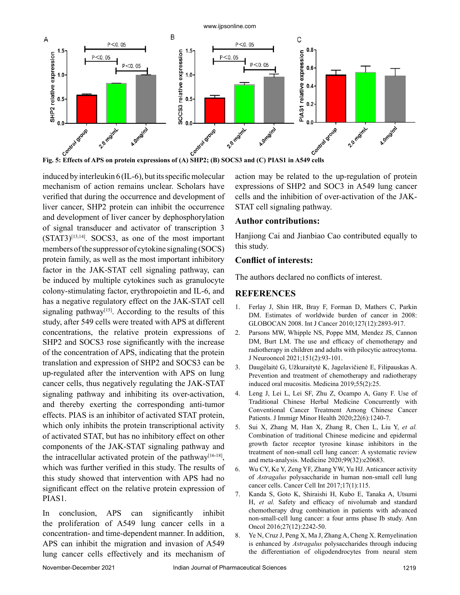

induced by interleukin 6 (IL-6), but its specific molecular mechanism of action remains unclear. Scholars have verified that during the occurrence and development of liver cancer, SHP2 protein can inhibit the occurrence and development of liver cancer by dephosphorylation of signal transducer and activator of transcription 3  $(STAT3)^{[13,14]}$ .  $SOCS3$ , as one of the most important members of the suppressor of cytokine signaling (SOCS) protein family, as well as the most important inhibitory factor in the JAK-STAT cell signaling pathway, can be induced by multiple cytokines such as granulocyte colony-stimulating factor, erythropoietin and IL-6, and has a negative regulatory effect on the JAK-STAT cell signaling pathway<sup>[15]</sup>. According to the results of this study, after 549 cells were treated with APS at different concentrations, the relative protein expressions of SHP2 and SOCS3 rose significantly with the increase of the concentration of APS, indicating that the protein translation and expression of SHP2 and SOCS3 can be up-regulated after the intervention with APS on lung cancer cells, thus negatively regulating the JAK-STAT signaling pathway and inhibiting its over-activation, and thereby exerting the corresponding anti-tumor effects. PIAS is an inhibitor of activated STAT protein, which only inhibits the protein transcriptional activity of activated STAT, but has no inhibitory effect on other components of the JAK-STAT signaling pathway and the intracellular activated protein of the pathway<sup>[16-18]</sup>, which was further verified in this study. The results of this study showed that intervention with APS had no significant effect on the relative protein expression of PIAS1.

In conclusion, APS can significantly inhibit the proliferation of A549 lung cancer cells in a concentration- and time-dependent manner. In addition, APS can inhibit the migration and invasion of A549 lung cancer cells effectively and its mechanism of action may be related to the up-regulation of protein expressions of SHP2 and SOC3 in A549 lung cancer cells and the inhibition of over-activation of the JAK-STAT cell signaling pathway.

#### **Author contributions:**

Hanjiong Cai and Jianbiao Cao contributed equally to this study.

#### **Conflict of interests:**

The authors declared no conflicts of interest.

#### **REFERENCES**

- 1. Ferlay J, Shin HR, Bray F, Forman D, Mathers C, Parkin DM. Estimates of worldwide burden of cancer in 2008: GLOBOCAN 2008. Int J Cancer 2010;127(12):2893-917.
- 2. Parsons MW, Whipple NS, Poppe MM, Mendez JS, Cannon DM, Burt LM. The use and efficacy of chemotherapy and radiotherapy in children and adults with pilocytic astrocytoma. J Neurooncol 2021;151(2):93-101.
- 3. Daugėlaitė G, Užkuraitytė K, Jagelavičienė E, Filipauskas A. Prevention and treatment of chemotherapy and radiotherapy induced oral mucositis. Medicina 2019;55(2):25.
- 4. Leng J, Lei L, Lei SF, Zhu Z, Ocampo A, Gany F. Use of Traditional Chinese Herbal Medicine Concurrently with Conventional Cancer Treatment Among Chinese Cancer Patients. J Immigr Minor Health 2020;22(6):1240-7.
- 5. Sui X, Zhang M, Han X, Zhang R, Chen L, Liu Y, *et al.* Combination of traditional Chinese medicine and epidermal growth factor receptor tyrosine kinase inhibitors in the treatment of non-small cell lung cancer: A systematic review and meta-analysis. Medicine 2020;99(32):e20683.
- 6. Wu CY, Ke Y, Zeng YF, Zhang YW, Yu HJ. Anticancer activity of *Astragalus* polysaccharide in human non-small cell lung cancer cells. Cancer Cell Int 2017;17(1):115.
- 7. Kanda S, Goto K, Shiraishi H, Kubo E, Tanaka A, Utsumi H, *et al.* Safety and efficacy of nivolumab and standard chemotherapy drug combination in patients with advanced non-small-cell lung cancer: a four arms phase Ib study. Ann Oncol 2016;27(12):2242-50.
- 8. Ye N, Cruz J, Peng X, Ma J, Zhang A, Cheng X. Remyelination is enhanced by *Astragalus* polysaccharides through inducing the differentiation of oligodendrocytes from neural stem